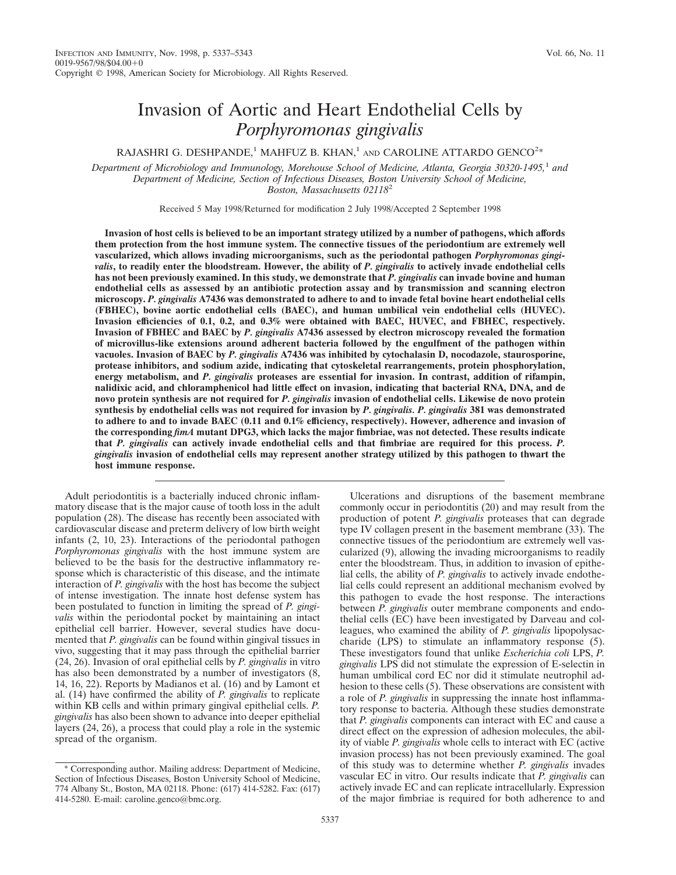# Invasion of Aortic and Heart Endothelial Cells by *Porphyromonas gingivalis*

RAJASHRI G. DESHPANDE,<sup>1</sup> MAHFUZ B. KHAN,<sup>1</sup> AND CAROLINE ATTARDO GENCO<sup>2\*</sup>

*Department of Microbiology and Immunology, Morehouse School of Medicine, Atlanta, Georgia 30320-1495,*<sup>1</sup> *and Department of Medicine, Section of Infectious Diseases, Boston University School of Medicine, Boston, Massachusetts 02118*<sup>2</sup>

Received 5 May 1998/Returned for modification 2 July 1998/Accepted 2 September 1998

**Invasion of host cells is believed to be an important strategy utilized by a number of pathogens, which affords them protection from the host immune system. The connective tissues of the periodontium are extremely well vascularized, which allows invading microorganisms, such as the periodontal pathogen** *Porphyromonas gingivalis***, to readily enter the bloodstream. However, the ability of** *P. gingivalis* **to actively invade endothelial cells has not been previously examined. In this study, we demonstrate that** *P. gingivalis* **can invade bovine and human endothelial cells as assessed by an antibiotic protection assay and by transmission and scanning electron microscopy.** *P. gingivalis* **A7436 was demonstrated to adhere to and to invade fetal bovine heart endothelial cells (FBHEC), bovine aortic endothelial cells (BAEC), and human umbilical vein endothelial cells (HUVEC). Invasion efficiencies of 0.1, 0.2, and 0.3% were obtained with BAEC, HUVEC, and FBHEC, respectively. Invasion of FBHEC and BAEC by** *P. gingivalis* **A7436 assessed by electron microscopy revealed the formation of microvillus-like extensions around adherent bacteria followed by the engulfment of the pathogen within vacuoles. Invasion of BAEC by** *P. gingivalis* **A7436 was inhibited by cytochalasin D, nocodazole, staurosporine, protease inhibitors, and sodium azide, indicating that cytoskeletal rearrangements, protein phosphorylation, energy metabolism, and** *P. gingivalis* **proteases are essential for invasion. In contrast, addition of rifampin, nalidixic acid, and chloramphenicol had little effect on invasion, indicating that bacterial RNA, DNA, and de novo protein synthesis are not required for** *P. gingivalis* **invasion of endothelial cells. Likewise de novo protein synthesis by endothelial cells was not required for invasion by** *P. gingivalis. P. gingivalis* **381 was demonstrated to adhere to and to invade BAEC (0.11 and 0.1% efficiency, respectively). However, adherence and invasion of the corresponding** *fimA* **mutant DPG3, which lacks the major fimbriae, was not detected. These results indicate that** *P. gingivalis* **can actively invade endothelial cells and that fimbriae are required for this process.** *P. gingivalis* **invasion of endothelial cells may represent another strategy utilized by this pathogen to thwart the host immune response.**

Adult periodontitis is a bacterially induced chronic inflammatory disease that is the major cause of tooth loss in the adult population (28). The disease has recently been associated with cardiovascular disease and preterm delivery of low birth weight infants (2, 10, 23). Interactions of the periodontal pathogen *Porphyromonas gingivalis* with the host immune system are believed to be the basis for the destructive inflammatory response which is characteristic of this disease, and the intimate interaction of *P. gingivalis* with the host has become the subject of intense investigation. The innate host defense system has been postulated to function in limiting the spread of *P. gingivalis* within the periodontal pocket by maintaining an intact epithelial cell barrier. However, several studies have documented that *P. gingivalis* can be found within gingival tissues in vivo, suggesting that it may pass through the epithelial barrier (24, 26). Invasion of oral epithelial cells by *P. gingivalis* in vitro has also been demonstrated by a number of investigators (8, 14, 16, 22). Reports by Madianos et al. (16) and by Lamont et al. (14) have confirmed the ability of *P. gingivalis* to replicate within KB cells and within primary gingival epithelial cells. *P. gingivalis* has also been shown to advance into deeper epithelial layers (24, 26), a process that could play a role in the systemic spread of the organism.

Ulcerations and disruptions of the basement membrane commonly occur in periodontitis (20) and may result from the production of potent *P. gingivalis* proteases that can degrade type IV collagen present in the basement membrane (33). The connective tissues of the periodontium are extremely well vascularized (9), allowing the invading microorganisms to readily enter the bloodstream. Thus, in addition to invasion of epithelial cells, the ability of *P. gingivalis* to actively invade endothelial cells could represent an additional mechanism evolved by this pathogen to evade the host response. The interactions between *P. gingivalis* outer membrane components and endothelial cells (EC) have been investigated by Darveau and colleagues, who examined the ability of *P. gingivalis* lipopolysaccharide (LPS) to stimulate an inflammatory response (5). These investigators found that unlike *Escherichia coli* LPS, *P. gingivalis* LPS did not stimulate the expression of E-selectin in human umbilical cord EC nor did it stimulate neutrophil adhesion to these cells (5). These observations are consistent with a role of *P. gingivalis* in suppressing the innate host inflammatory response to bacteria. Although these studies demonstrate that *P. gingivalis* components can interact with EC and cause a direct effect on the expression of adhesion molecules, the ability of viable *P. gingivalis* whole cells to interact with EC (active invasion process) has not been previously examined. The goal of this study was to determine whether *P. gingivalis* invades vascular EC in vitro. Our results indicate that *P. gingivalis* can actively invade EC and can replicate intracellularly. Expression of the major fimbriae is required for both adherence to and

<sup>\*</sup> Corresponding author. Mailing address: Department of Medicine, Section of Infectious Diseases, Boston University School of Medicine, 774 Albany St., Boston, MA 02118. Phone: (617) 414-5282. Fax: (617) 414-5280. E-mail: caroline.genco@bmc.org.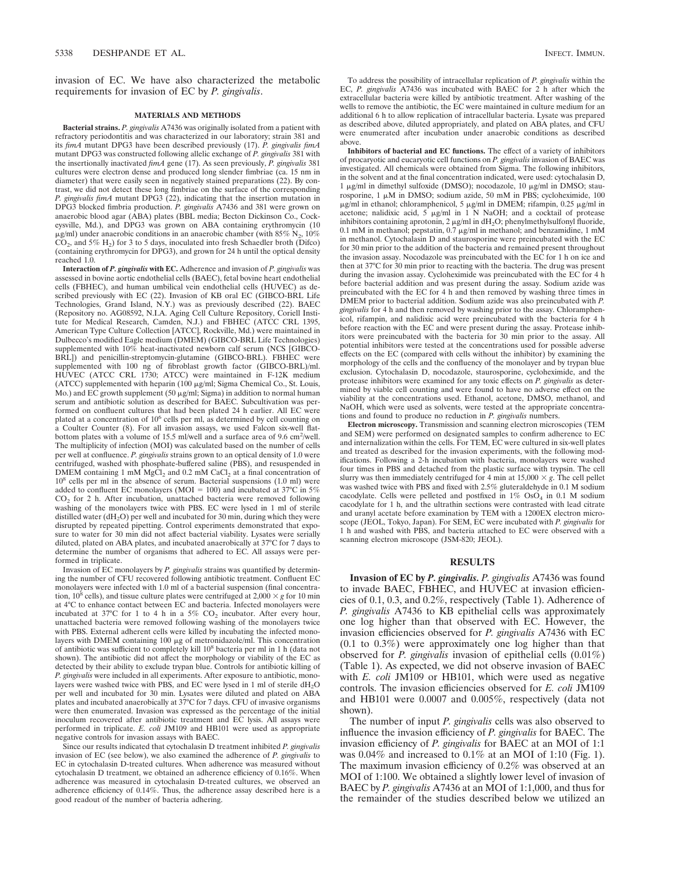invasion of EC. We have also characterized the metabolic requirements for invasion of EC by *P. gingivalis*.

### **MATERIALS AND METHODS**

**Bacterial strains.** *P. gingivalis* A7436 was originally isolated from a patient with refractory periodontitis and was characterized in our laboratory; strain 381 and its *fimA* mutant DPG3 have been described previously (17). *P. gingivalis fimA* mutant DPG3 was constructed following allelic exchange of *P. gingivalis* 381 with the insertionally inactivated *fimA* gene (17). As seen previously, *P. gingivalis* 381 cultures were electron dense and produced long slender fimbriae (ca. 15 nm in diameter) that were easily seen in negatively stained preparations  $(22)$ . By contrast, we did not detect these long fimbriae on the surface of the corresponding *P. gingivalis fimA* mutant DPG3 (22), indicating that the insertion mutation in DPG3 blocked fimbria production. *P. gingivalis* A7436 and 381 were grown on anaerobic blood agar (ABA) plates (BBL media; Becton Dickinson Co., Cockeysville, Md.), and DPG3 was grown on ABA containing erythromycin (10  $\mu$ g/ml) under anaerobic conditions in an anaerobic chamber (with 85% N<sub>2</sub>, 10%)  $CO<sub>2</sub>$ , and 5% H<sub>2</sub>) for 3 to 5 days, inoculated into fresh Schaedler broth (Difco) (containing erythromycin for DPG3), and grown for 24 h until the optical density reached 1.0.

**Interaction of** *P. gingivalis* **with EC.** Adherence and invasion of *P. gingivalis* was assessed in bovine aortic endothelial cells (BAEC), fetal bovine heart endothelial cells (FBHEC), and human umbilical vein endothelial cells (HUVEC) as described previously with EC (22). Invasion of KB oral EC (GIBCO-BRL Life Technologies, Grand Island, N.Y.) was as previously described (22). BAEC (Repository no. AG08592, N.I.A. Aging Cell Culture Repository, Coriell Institute for Medical Research, Camden, N.J.) and FBHEC (ATCC CRL 1395, American Type Culture Collection [ATCC], Rockville, Md.) were maintained in Dulbecco's modified Eagle medium (DMEM) (GIBCO-BRL Life Technologies) supplemented with 10% heat-inactivated newborn calf serum (NCS [GIBCO-BRL]) and penicillin-streptomycin-glutamine (GIBCO-BRL). FBHEC were supplemented with 100 ng of fibroblast growth factor (GIBCO-BRL)/ml. HUVEC (ATCC CRL 1730; ATCC) were maintained in F-12K medium (ATCC) supplemented with heparin (100 mg/ml; Sigma Chemical Co., St. Louis, Mo.) and  $\overrightarrow{EC}$  growth supplement (50  $\mu$ g/ml; Sigma) in addition to normal human serum and antibiotic solution as described for BAEC. Subcultivation was performed on confluent cultures that had been plated 24 h earlier. All EC were plated at a concentration of 10<sup>6</sup> cells per ml, as determined by cell counting on a Coulter Counter (8). For all invasion assays, we used Falcon six-well flatbottom plates with a volume of 15.5 ml/well and a surface area of 9.6 cm<sup>2</sup>/well. The multiplicity of infection (MOI) was calculated based on the number of cells per well at confluence. *P. gingivalis* strains grown to an optical density of 1.0 were centrifuged, washed with phosphate-buffered saline (PBS), and resuspended in DMEM containing 1 mM MgCl<sub>2</sub> and 0.2 mM CaCl<sub>2</sub> at a final concentration of  $10^8$  cells per ml in the absence of serum. Bacterial suspensions (1.0 ml) were added to confluent EC monolayers (MOI = 100) and incubated at  $37^{\circ}$ C in  $5\%$  $CO<sub>2</sub>$  for 2 h. After incubation, unattached bacteria were removed following washing of the monolayers twice with PBS. EC were lysed in 1 ml of sterile distilled water (dH<sub>2</sub>O) per well and incubated for 30 min, during which they were disrupted by repeated pipetting. Control experiments demonstrated that exposure to water for 30 min did not affect bacterial viability. Lysates were serially diluted, plated on ABA plates, and incubated anaerobically at 37°C for 7 days to determine the number of organisms that adhered to EC. All assays were performed in triplicate.

Invasion of EC monolayers by *P. gingivalis* strains was quantified by determining the number of CFU recovered following antibiotic treatment. Confluent EC monolayers were infected with 1.0 ml of a bacterial suspension (final concentration,  $10^8$  cells), and tissue culture plates were centrifuged at  $2,000 \times g$  for 10 min at 4°C to enhance contact between EC and bacteria. Infected monolayers were incubated at 37°C for 1 to 4 h in a 5%  $CO<sub>2</sub>$  incubator. After every hour, unattached bacteria were removed following washing of the monolayers twice with PBS. External adherent cells were killed by incubating the infected monolayers with DMEM containing  $100 \mu g$  of metronidazole/ml. This concentration of antibiotic was sufficient to completely kill 10<sup>8</sup> bacteria per ml in 1 h (data not shown). The antibiotic did not affect the morphology or viability of the EC as detected by their ability to exclude trypan blue. Controls for antibiotic killing of *P. gingivalis* were included in all experiments. After exposure to antibiotic, monolayers were washed twice with PBS, and EC were lysed in 1 ml of sterile  $dH_2O$ per well and incubated for 30 min. Lysates were diluted and plated on ABA plates and incubated anaerobically at 37°C for 7 days. CFU of invasive organisms were then enumerated. Invasion was expressed as the percentage of the initial inoculum recovered after antibiotic treatment and EC lysis. All assays were performed in triplicate. *E. coli* JM109 and HB101 were used as appropriate negative controls for invasion assays with BAEC.

Since our results indicated that cytochalasin D treatment inhibited *P. gingivalis* invasion of EC (see below), we also examined the adherence of *P. gingivalis* to EC in cytochalasin D-treated cultures. When adherence was measured without cytochalasin D treatment, we obtained an adherence efficiency of 0.16%. When adherence was measured in cytochalasin D-treated cultures, we observed an adherence efficiency of 0.14%. Thus, the adherence assay described here is a good readout of the number of bacteria adhering.

To address the possibility of intracellular replication of *P. gingivalis* within the EC, *P. gingivalis* A7436 was incubated with BAEC for 2 h after which the extracellular bacteria were killed by antibiotic treatment. After washing of the wells to remove the antibiotic, the EC were maintained in culture medium for an additional 6 h to allow replication of intracellular bacteria. Lysate was prepared as described above, diluted appropriately, and plated on ABA plates, and CFU were enumerated after incubation under anaerobic conditions as described above.

**Inhibitors of bacterial and EC functions.** The effect of a variety of inhibitors of procaryotic and eucaryotic cell functions on *P. gingivalis* invasion of BAEC was investigated. All chemicals were obtained from Sigma. The following inhibitors, in the solvent and at the final concentration indicated, were used: cytochalasin D, 1 μg/ml in dimethyl sulfoxide (DMSO); nocodazole, 10 μg/ml in DMSO; staurosporine, 1  $\mu$ M in DMSO; sodium azide, 50 mM in PBS; cycloheximide, 100  $\mu$ g/ml in ethanol; chloramphenicol, 5  $\mu$ g/ml in DMEM; rifampin, 0.25  $\mu$ g/ml in acetone; nalidixic acid,  $5 \mu g/ml$  in 1 N NaOH; and a cocktail of protease inhibitors containing aprotonin, 2 µg/ml in dH<sub>2</sub>O; phenylmethylsulfonyl fluoride,<br>0.1 mM in methanol; pepstatin, 0.7 µg/ml in methanol; and benzamidine, 1 mM in methanol. Cytochalasin D and staurosporine were preincubated with the EC for 30 min prior to the addition of the bacteria and remained present throughout the invasion assay. Nocodazole was preincubated with the EC for 1 h on ice and then at 37°C for 30 min prior to reacting with the bacteria. The drug was present during the invasion assay. Cycloheximide was preincubated with the EC for 4 h before bacterial addition and was present during the assay. Sodium azide was preincubated with the EC for 4 h and then removed by washing three times in DMEM prior to bacterial addition. Sodium azide was also preincubated with *P. gingivalis* for 4 h and then removed by washing prior to the assay. Chloramphenicol, rifampin, and nalidixic acid were preincubated with the bacteria for 4 h before reaction with the EC and were present during the assay. Protease inhibitors were preincubated with the bacteria for 30 min prior to the assay. All potential inhibitors were tested at the concentrations used for possible adverse effects on the EC (compared with cells without the inhibitor) by examining the morphology of the cells and the confluency of the monolayer and by trypan blue exclusion. Cytochalasin D, nocodazole, staurosporine, cycloheximide, and the protease inhibitors were examined for any toxic effects on *P. gingivalis* as determined by viable cell counting and were found to have no adverse effect on the viability at the concentrations used. Ethanol, acetone, DMSO, methanol, and NaOH, which were used as solvents, were tested at the appropriate concentrations and found to produce no reduction in *P. gingivalis* numbers.

**Electron microscopy.** Transmission and scanning electron microscopies (TEM and SEM) were performed on designated samples to confirm adherence to EC and internalization within the cells. For TEM, EC were cultured in six-well plates and treated as described for the invasion experiments, with the following modifications. Following a 2-h incubation with bacteria, monolayers were washed four times in PBS and detached from the plastic surface with trypsin. The cell slurry was then immediately centrifuged for 4 min at  $15,000 \times g$ . The cell pellet was washed twice with PBS and fixed with 2.5% gluteraldehyde in 0.1 M sodium cacodylate. Cells were pelleted and postfixed in  $1\%$  OsO<sub>4</sub> in 0.1 M sodium cacodylate for 1 h, and the ultrathin sections were contrasted with lead citrate and uranyl acetate before examination by TEM with a 1200EX electron microscope (JEOL, Tokyo, Japan). For SEM, EC were incubated with *P. gingivalis* for 1 h and washed with PBS, and bacteria attached to EC were observed with a scanning electron microscope (JSM-820; JEOL).

## **RESULTS**

**Invasion of EC by** *P. gingivalis. P. gingivalis* A7436 was found to invade BAEC, FBHEC, and HUVEC at invasion efficiencies of 0.1, 0.3, and 0.2%, respectively (Table 1). Adherence of *P. gingivalis* A7436 to KB epithelial cells was approximately one log higher than that observed with EC. However, the invasion efficiencies observed for *P. gingivalis* A7436 with EC (0.1 to 0.3%) were approximately one log higher than that observed for *P. gingivalis* invasion of epithelial cells (0.01%) (Table 1). As expected, we did not observe invasion of BAEC with *E. coli* JM109 or HB101, which were used as negative controls. The invasion efficiencies observed for *E. coli* JM109 and HB101 were 0.0007 and 0.005%, respectively (data not shown).

The number of input *P. gingivalis* cells was also observed to influence the invasion efficiency of *P. gingivalis* for BAEC. The invasion efficiency of *P. gingivalis* for BAEC at an MOI of 1:1 was  $0.04\%$  and increased to  $0.1\%$  at an MOI of 1:10 (Fig. 1). The maximum invasion efficiency of 0.2% was observed at an MOI of 1:100. We obtained a slightly lower level of invasion of BAEC by *P. gingivalis* A7436 at an MOI of 1:1,000, and thus for the remainder of the studies described below we utilized an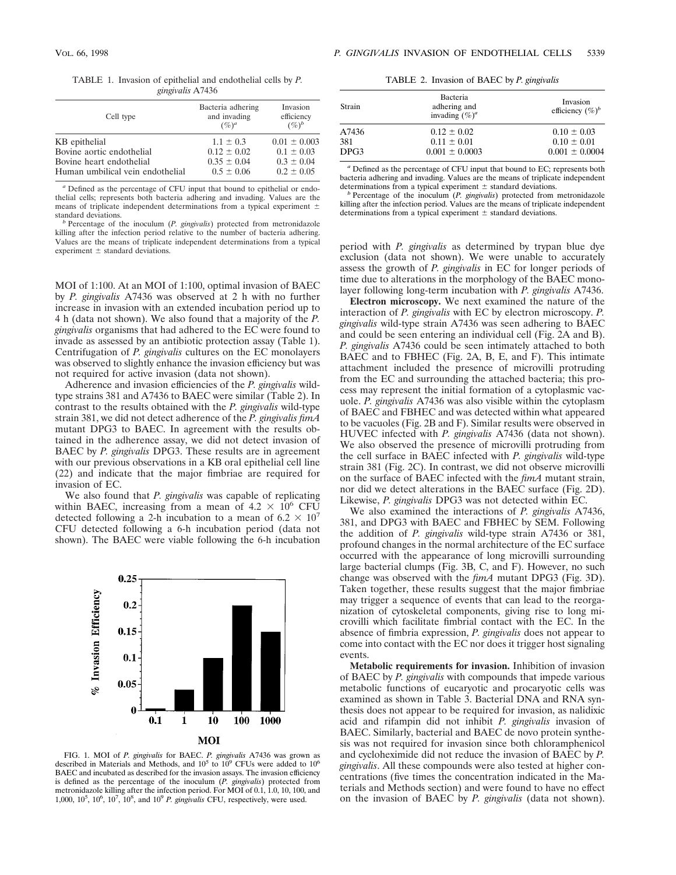|  | TABLE 1. Invasion of epithelial and endothelial cells by P. |  |  |
|--|-------------------------------------------------------------|--|--|
|  | gingivalis A7436                                            |  |  |

| Cell type                        | Bacteria adhering<br>and invading<br>$(\%)^a$ | Invasion<br>efficiency<br>$(\%)^b$ |
|----------------------------------|-----------------------------------------------|------------------------------------|
| KB epithelial                    | $1.1 \pm 0.3$                                 | $0.01 \pm 0.003$                   |
| Bovine aortic endothelial        | $0.12 \pm 0.02$                               | $0.1 \pm 0.03$                     |
| Bovine heart endothelial         | $0.35 \pm 0.04$                               | $0.3 \pm 0.04$                     |
| Human umbilical vein endothelial | $0.5 \pm 0.06$                                | $0.2 \pm 0.05$                     |
|                                  |                                               |                                    |

*<sup>a</sup>* Defined as the percentage of CFU input that bound to epithelial or endothelial cells; represents both bacteria adhering and invading. Values are the means of triplicate independent determinations from a typical experiment  $\pm$ standard deviations. *<sup>b</sup>* Percentage of the inoculum (*P. gingivalis*) protected from metronidazole

killing after the infection period relative to the number of bacteria adhering. Values are the means of triplicate independent determinations from a typical experiment  $\pm$  standard deviations.

MOI of 1:100. At an MOI of 1:100, optimal invasion of BAEC by *P. gingivalis* A7436 was observed at 2 h with no further increase in invasion with an extended incubation period up to 4 h (data not shown). We also found that a majority of the *P. gingivalis* organisms that had adhered to the EC were found to invade as assessed by an antibiotic protection assay (Table 1). Centrifugation of *P. gingivalis* cultures on the EC monolayers was observed to slightly enhance the invasion efficiency but was not required for active invasion (data not shown).

Adherence and invasion efficiencies of the *P. gingivalis* wildtype strains 381 and A7436 to BAEC were similar (Table 2). In contrast to the results obtained with the *P. gingivalis* wild-type strain 381, we did not detect adherence of the *P. gingivalis fimA* mutant DPG3 to BAEC. In agreement with the results obtained in the adherence assay, we did not detect invasion of BAEC by *P. gingivalis* DPG3. These results are in agreement with our previous observations in a KB oral epithelial cell line (22) and indicate that the major fimbriae are required for invasion of EC.

We also found that *P. gingivalis* was capable of replicating within BAEC, increasing from a mean of  $4.2 \times 10^6$  CFU detected following a 2-h incubation to a mean of  $6.2 \times 10^7$ CFU detected following a 6-h incubation period (data not shown). The BAEC were viable following the 6-h incubation



FIG. 1. MOI of *P. gingivalis* for BAEC. *P. gingivalis* A7436 was grown as described in Materials and Methods, and  $10^5$  to  $10^9$  CFUs were added to  $10^6$ BAEC and incubated as described for the invasion assays. The invasion efficiency is defined as the percentage of the inoculum (*P. gingivalis*) protected from metronidazole killing after the infection period. For MOI of 0.1, 1.0, 10, 100, and 1,000, 10<sup>5</sup>, 10<sup>6</sup>, 10<sup>7</sup>, 10<sup>8</sup>, and 10<sup>9</sup> *P. gingivalis* CFU, respectively, were used.

TABLE 2. Invasion of BAEC by *P. gingivalis*

| Strain | Bacteria<br>adhering and<br>invading $(\%)^a$ | Invasion<br>efficiency $(\%)^b$ |
|--------|-----------------------------------------------|---------------------------------|
| A7436  | $0.12 \pm 0.02$                               | $0.10 \pm 0.03$                 |
| 381    | $0.11 \pm 0.01$                               | $0.10 \pm 0.01$                 |
| DPG3   | $0.001 \pm 0.0003$                            | $0.001 \pm 0.0004$              |

*<sup>a</sup>* Defined as the percentage of CFU input that bound to EC; represents both bacteria adhering and invading. Values are the means of triplicate independent determinations from a typical experiment  $\pm$  standard deviations.

b Percentage of the inoculum (*P. gingivalis*) protected from metronidazole killing after the infection period. Values are the means of triplicate independent determinations from a typical experiment  $\pm$  standard deviations.

period with *P. gingivalis* as determined by trypan blue dye exclusion (data not shown). We were unable to accurately assess the growth of *P. gingivalis* in EC for longer periods of time due to alterations in the morphology of the BAEC monolayer following long-term incubation with *P. gingivalis* A7436.

**Electron microscopy.** We next examined the nature of the interaction of *P. gingivalis* with EC by electron microscopy. *P. gingivalis* wild-type strain A7436 was seen adhering to BAEC and could be seen entering an individual cell (Fig. 2A and B). *P. gingivalis* A7436 could be seen intimately attached to both BAEC and to FBHEC (Fig. 2A, B, E, and F). This intimate attachment included the presence of microvilli protruding from the EC and surrounding the attached bacteria; this process may represent the initial formation of a cytoplasmic vacuole. *P. gingivalis* A7436 was also visible within the cytoplasm of BAEC and FBHEC and was detected within what appeared to be vacuoles (Fig. 2B and F). Similar results were observed in HUVEC infected with *P. gingivalis* A7436 (data not shown). We also observed the presence of microvilli protruding from the cell surface in BAEC infected with *P. gingivalis* wild-type strain 381 (Fig. 2C). In contrast, we did not observe microvilli on the surface of BAEC infected with the *fimA* mutant strain, nor did we detect alterations in the BAEC surface (Fig. 2D). Likewise, *P. gingivalis* DPG3 was not detected within EC.

We also examined the interactions of *P. gingivalis* A7436, 381, and DPG3 with BAEC and FBHEC by SEM. Following the addition of *P. gingivalis* wild-type strain A7436 or 381, profound changes in the normal architecture of the EC surface occurred with the appearance of long microvilli surrounding large bacterial clumps (Fig. 3B, C, and F). However, no such change was observed with the *fimA* mutant DPG3 (Fig. 3D). Taken together, these results suggest that the major fimbriae may trigger a sequence of events that can lead to the reorganization of cytoskeletal components, giving rise to long microvilli which facilitate fimbrial contact with the EC. In the absence of fimbria expression, *P. gingivalis* does not appear to come into contact with the EC nor does it trigger host signaling events.

**Metabolic requirements for invasion.** Inhibition of invasion of BAEC by *P. gingivalis* with compounds that impede various metabolic functions of eucaryotic and procaryotic cells was examined as shown in Table 3. Bacterial DNA and RNA synthesis does not appear to be required for invasion, as nalidixic acid and rifampin did not inhibit *P. gingivalis* invasion of BAEC. Similarly, bacterial and BAEC de novo protein synthesis was not required for invasion since both chloramphenicol and cycloheximide did not reduce the invasion of BAEC by *P. gingivalis*. All these compounds were also tested at higher concentrations (five times the concentration indicated in the Materials and Methods section) and were found to have no effect on the invasion of BAEC by *P. gingivalis* (data not shown).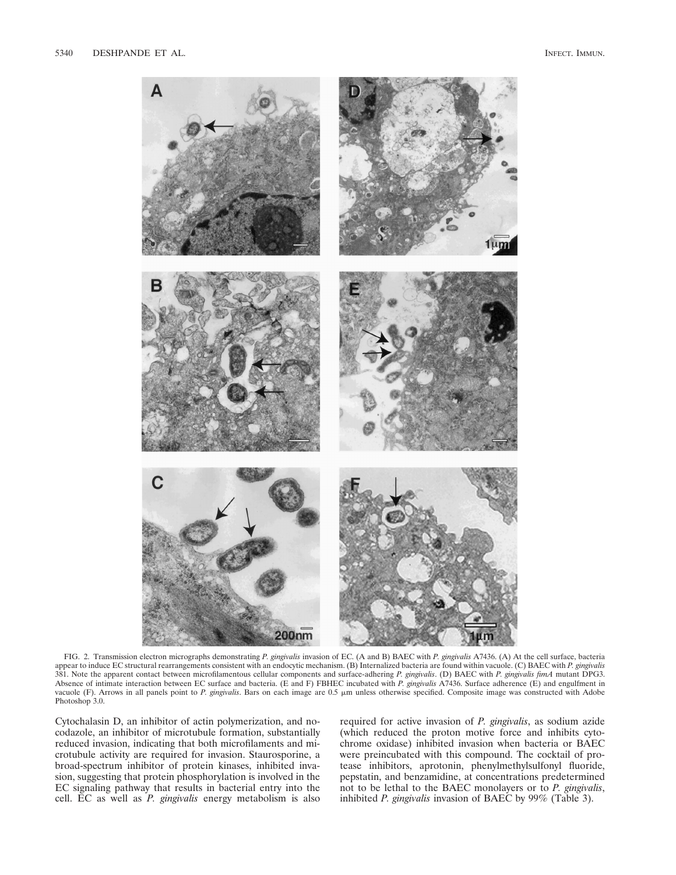

FIG. 2. Transmission electron micrographs demonstrating *P. gingivalis* invasion of EC. (A and B) BAEC with *P. gingivalis* A7436. (A) At the cell surface, bacteria appear to induce EC structural rearrangements consistent with an endocytic mechanism. (B) Internalized bacteria are found within vacuole. (C) BAEC with *P. gingivalis* 381. Note the apparent contact between microfilamentous cellular components and surface-adhering *P. gingivalis*. (D) BAEC with *P. gingivalis fimA* mutant DPG3. Absence of intimate interaction between EC surface and bacteria. (E and F) FBHEC incubated with *P. gingivalis* A7436. Surface adherence (E) and engulfment in vacuole (F). Arrows in all panels point to P. gingivalis. Bars on each image are 0.5  $\mu$ m unless otherwise specified. Composite image was constructed with Adobe Photoshop 3.0.

Cytochalasin D, an inhibitor of actin polymerization, and nocodazole, an inhibitor of microtubule formation, substantially reduced invasion, indicating that both microfilaments and microtubule activity are required for invasion. Staurosporine, a broad-spectrum inhibitor of protein kinases, inhibited invasion, suggesting that protein phosphorylation is involved in the EC signaling pathway that results in bacterial entry into the cell. EC as well as *P. gingivalis* energy metabolism is also

required for active invasion of *P. gingivalis*, as sodium azide (which reduced the proton motive force and inhibits cytochrome oxidase) inhibited invasion when bacteria or BAEC were preincubated with this compound. The cocktail of protease inhibitors, aprotonin, phenylmethylsulfonyl fluoride, pepstatin, and benzamidine, at concentrations predetermined not to be lethal to the BAEC monolayers or to *P. gingivalis*, inhibited *P. gingivalis* invasion of BAEC by 99% (Table 3).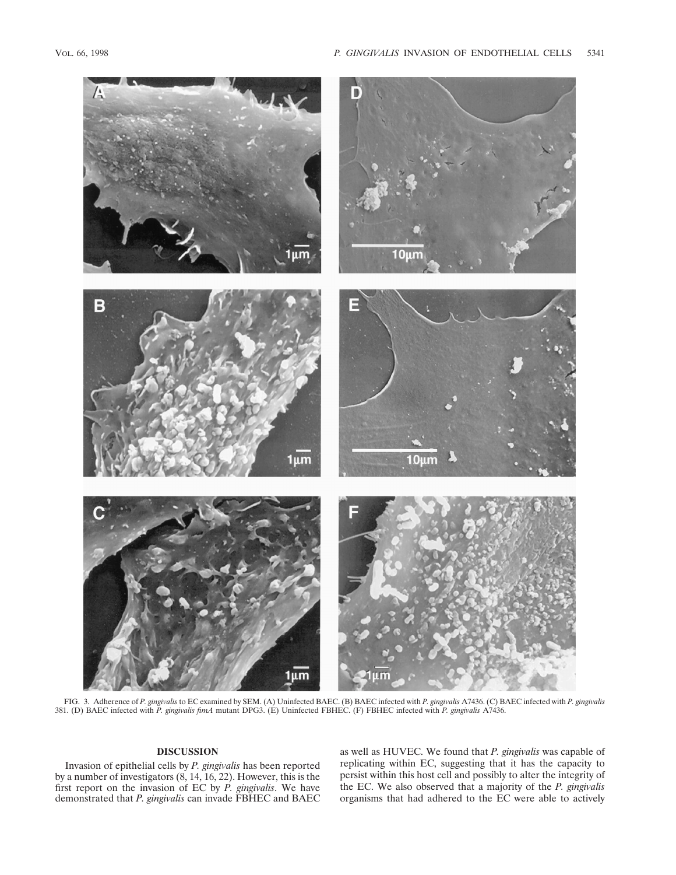

FIG. 3. Adherence of *P. gingivalis* to EC examined by SEM. (A) Uninfected BAEC. (B) BAEC infected with *P. gingivalis* A7436. (C) BAEC infected with *P. gingivalis* 381. (D) BAEC infected with *P. gingivalis fimA* mutant DPG3. (E) Uninfected FBHEC. (F) FBHEC infected with *P. gingivalis* A7436.

# **DISCUSSION**

Invasion of epithelial cells by *P. gingivalis* has been reported by a number of investigators (8, 14, 16, 22). However, this is the first report on the invasion of EC by *P. gingivalis*. We have demonstrated that *P. gingivalis* can invade FBHEC and BAEC

as well as HUVEC. We found that *P. gingivalis* was capable of replicating within EC, suggesting that it has the capacity to persist within this host cell and possibly to alter the integrity of the EC. We also observed that a majority of the *P. gingivalis* organisms that had adhered to the EC were able to actively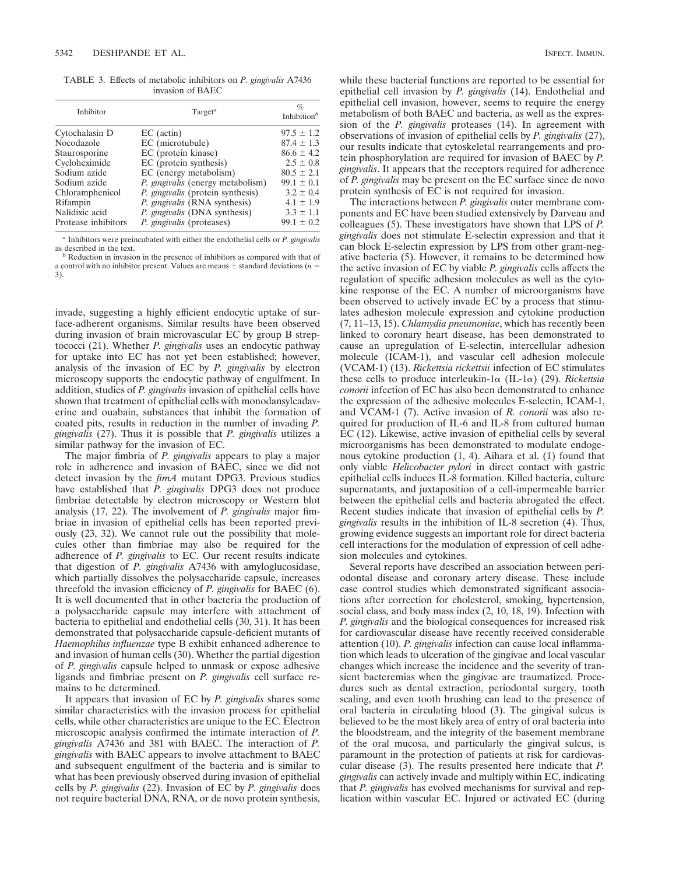TABLE 3. Effects of metabolic inhibitors on *P. gingivalis* A7436 invasion of BAEC

| Inhibitor           | $T \text{arget}^a$                       | $\%$<br>Inhibition $b$ |  |
|---------------------|------------------------------------------|------------------------|--|
| Cytochalasin D      | $EC$ (actin)                             | $97.5 \pm 1.2$         |  |
| Nocodazole          | EC (microtubule)                         | $87.4 \pm 1.3$         |  |
| Staurosporine       | EC (protein kinase)                      | $86.6 \pm 4.2$         |  |
| Cycloheximide       | EC (protein synthesis)                   | $2.5 \pm 0.8$          |  |
| Sodium azide        | EC (energy metabolism)                   | $80.5 \pm 2.1$         |  |
| Sodium azide        | <i>P. gingivalis</i> (energy metabolism) | $99.1 \pm 0.1$         |  |
| Chloramphenicol     | <i>P. gingivalis</i> (protein synthesis) | $3.2 \pm 0.4$          |  |
| Rifampin            | <i>P. gingivalis</i> (RNA synthesis)     | $4.1 \pm 1.9$          |  |
| Nalidixic acid      | <i>P. gingivalis</i> (DNA synthesis)     | $3.3 \pm 1.1$          |  |
| Protease inhibitors | <i>P. gingivalis</i> (proteases)         | $99.1 \pm 0.2$         |  |

*<sup>a</sup>* Inhibitors were preincubated with either the endothelial cells or *P. gingivalis*

<sup>b</sup> Reduction in invasion in the presence of inhibitors as compared with that of a control with no inhibitor present. Values are means  $\pm$  standard deviations (*n* = 3).

invade, suggesting a highly efficient endocytic uptake of surface-adherent organisms. Similar results have been observed during invasion of brain microvascular EC by group B streptococci (21). Whether *P. gingivalis* uses an endocytic pathway for uptake into EC has not yet been established; however, analysis of the invasion of EC by *P. gingivalis* by electron microscopy supports the endocytic pathway of engulfment. In addition, studies of *P. gingivalis* invasion of epithelial cells have shown that treatment of epithelial cells with monodansylcadaverine and ouabain, substances that inhibit the formation of coated pits, results in reduction in the number of invading *P. gingivalis* (27). Thus it is possible that *P. gingivalis* utilizes a similar pathway for the invasion of EC.

The major fimbria of *P. gingivalis* appears to play a major role in adherence and invasion of BAEC, since we did not detect invasion by the *fimA* mutant DPG3. Previous studies have established that *P. gingivalis* DPG3 does not produce fimbriae detectable by electron microscopy or Western blot analysis (17, 22). The involvement of *P. gingivalis* major fimbriae in invasion of epithelial cells has been reported previously (23, 32). We cannot rule out the possibility that molecules other than fimbriae may also be required for the adherence of *P. gingivalis* to EC. Our recent results indicate that digestion of *P. gingivalis* A7436 with amyloglucosidase, which partially dissolves the polysaccharide capsule, increases threefold the invasion efficiency of *P. gingivalis* for BAEC (6). It is well documented that in other bacteria the production of a polysaccharide capsule may interfere with attachment of bacteria to epithelial and endothelial cells (30, 31). It has been demonstrated that polysaccharide capsule-deficient mutants of *Haemophilus influenzae* type B exhibit enhanced adherence to and invasion of human cells (30). Whether the partial digestion of *P. gingivalis* capsule helped to unmask or expose adhesive ligands and fimbriae present on *P. gingivalis* cell surface remains to be determined.

It appears that invasion of EC by *P. gingivalis* shares some similar characteristics with the invasion process for epithelial cells, while other characteristics are unique to the EC. Electron microscopic analysis confirmed the intimate interaction of *P. gingivalis* A7436 and 381 with BAEC. The interaction of *P. gingivalis* with BAEC appears to involve attachment to BAEC and subsequent engulfment of the bacteria and is similar to what has been previously observed during invasion of epithelial cells by *P. gingivalis* (22). Invasion of EC by *P. gingivalis* does not require bacterial DNA, RNA, or de novo protein synthesis,

while these bacterial functions are reported to be essential for epithelial cell invasion by *P. gingivalis* (14). Endothelial and epithelial cell invasion, however, seems to require the energy metabolism of both BAEC and bacteria, as well as the expression of the *P. gingivalis* proteases (14). In agreement with observations of invasion of epithelial cells by *P. gingivalis* (27), our results indicate that cytoskeletal rearrangements and protein phosphorylation are required for invasion of BAEC by *P. gingivalis*. It appears that the receptors required for adherence of *P. gingivalis* may be present on the EC surface since de novo protein synthesis of EC is not required for invasion.

The interactions between *P. gingivalis* outer membrane components and EC have been studied extensively by Darveau and colleagues (5). These investigators have shown that LPS of *P. gingivalis* does not stimulate E-selectin expression and that it can block E-selectin expression by LPS from other gram-negative bacteria (5). However, it remains to be determined how the active invasion of EC by viable *P. gingivalis* cells affects the regulation of specific adhesion molecules as well as the cytokine response of the EC. A number of microorganisms have been observed to actively invade EC by a process that stimulates adhesion molecule expression and cytokine production (7, 11–13, 15). *Chlamydia pneumoniae*, which has recently been linked to coronary heart disease, has been demonstrated to cause an upregulation of E-selectin, intercellular adhesion molecule (ICAM-1), and vascular cell adhesion molecule (VCAM-1) (13). *Rickettsia rickettsii* infection of EC stimulates these cells to produce interleukin- $1\alpha$  (IL- $1\alpha$ ) (29). *Rickettsia conorii* infection of EC has also been demonstrated to enhance the expression of the adhesive molecules E-selectin, ICAM-1, and VCAM-1 (7). Active invasion of *R. conorii* was also required for production of IL-6 and IL-8 from cultured human EC (12). Likewise, active invasion of epithelial cells by several microorganisms has been demonstrated to modulate endogenous cytokine production (1, 4). Aihara et al. (1) found that only viable *Helicobacter pylori* in direct contact with gastric epithelial cells induces IL-8 formation. Killed bacteria, culture supernatants, and juxtaposition of a cell-impermeable barrier between the epithelial cells and bacteria abrogated the effect. Recent studies indicate that invasion of epithelial cells by *P. gingivalis* results in the inhibition of IL-8 secretion (4). Thus, growing evidence suggests an important role for direct bacteria cell interactions for the modulation of expression of cell adhesion molecules and cytokines.

Several reports have described an association between periodontal disease and coronary artery disease. These include case control studies which demonstrated significant associations after correction for cholesterol, smoking, hypertension, social class, and body mass index (2, 10, 18, 19). Infection with *P. gingivalis* and the biological consequences for increased risk for cardiovascular disease have recently received considerable attention (10). *P. gingivalis* infection can cause local inflammation which leads to ulceration of the gingivae and local vascular changes which increase the incidence and the severity of transient bacteremias when the gingivae are traumatized. Procedures such as dental extraction, periodontal surgery, tooth scaling, and even tooth brushing can lead to the presence of oral bacteria in circulating blood (3). The gingival sulcus is believed to be the most likely area of entry of oral bacteria into the bloodstream, and the integrity of the basement membrane of the oral mucosa, and particularly the gingival sulcus, is paramount in the protection of patients at risk for cardiovascular disease (3). The results presented here indicate that *P. gingivalis* can actively invade and multiply within EC, indicating that *P. gingivalis* has evolved mechanisms for survival and replication within vascular EC. Injured or activated EC (during